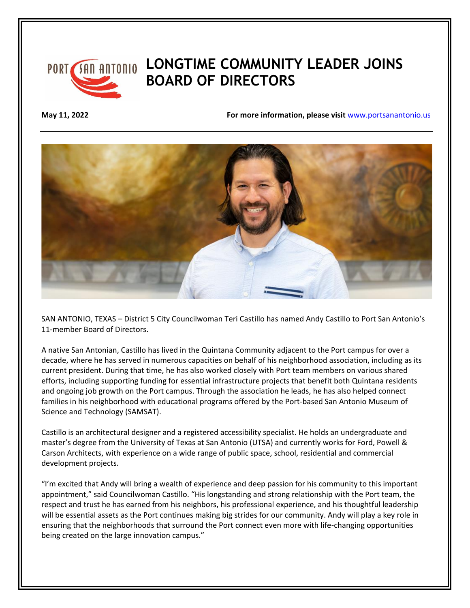

## *SAN ANTONIO* LONGTIME COMMUNITY LEADER JOINS **BOARD OF DIRECTORS**

**May 11, 2022 For more information, please visit** [www.portsanantonio.us](http://www.portsanantonio.us/innovation)



SAN ANTONIO, TEXAS – District 5 City Councilwoman Teri Castillo has named Andy Castillo to Port San Antonio's 11-member Board of Directors.

A native San Antonian, Castillo has lived in the Quintana Community adjacent to the Port campus for over a decade, where he has served in numerous capacities on behalf of his neighborhood association, including as its current president. During that time, he has also worked closely with Port team members on various shared efforts, including supporting funding for essential infrastructure projects that benefit both Quintana residents and ongoing job growth on the Port campus. Through the association he leads, he has also helped connect families in his neighborhood with educational programs offered by the Port-based San Antonio Museum of Science and Technology (SAMSAT).

Castillo is an architectural designer and a registered accessibility specialist. He holds an undergraduate and master's degree from the University of Texas at San Antonio (UTSA) and currently works for Ford, Powell & Carson Architects, with experience on a wide range of public space, school, residential and commercial development projects.

"I'm excited that Andy will bring a wealth of experience and deep passion for his community to this important appointment," said Councilwoman Castillo. "His longstanding and strong relationship with the Port team, the respect and trust he has earned from his neighbors, his professional experience, and his thoughtful leadership will be essential assets as the Port continues making big strides for our community. Andy will play a key role in ensuring that the neighborhoods that surround the Port connect even more with life-changing opportunities being created on the large innovation campus."